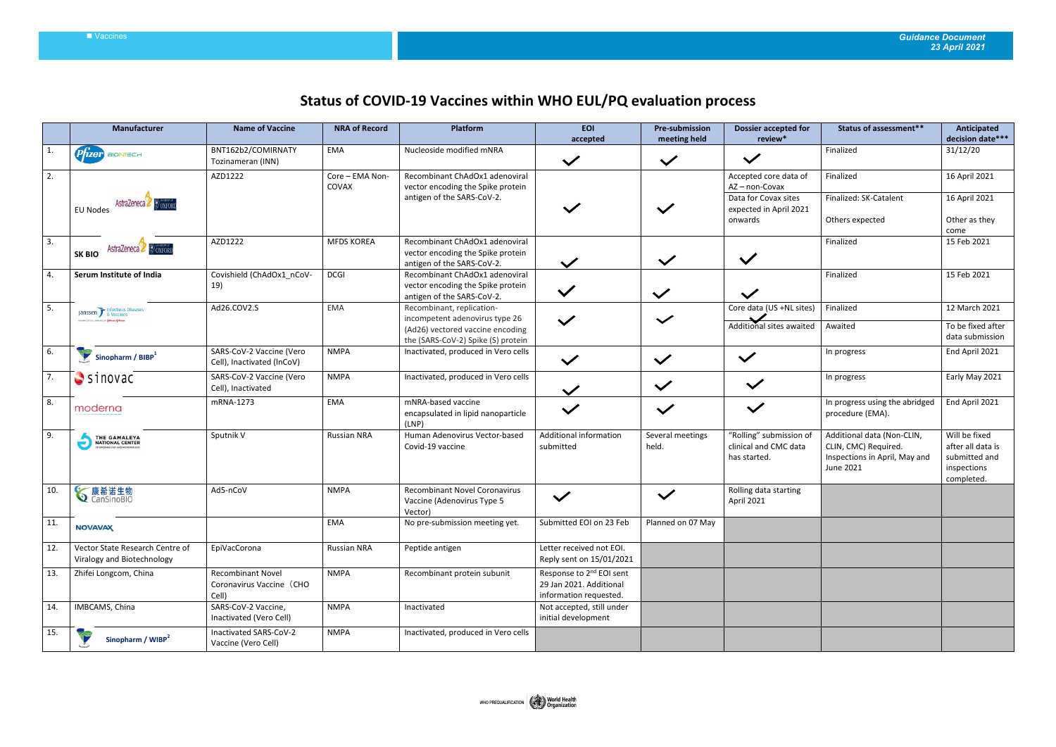## Vaccines *Guidance Document 23 April 2021*

## **Status of COVID-19 Vaccines within WHO EUL/PQ evaluation process**

|                  | Manufacturer                                                  | <b>Name of Vaccine</b>                                 | <b>NRA of Record</b>     | Platform                                                                                                 | <b>EOI</b><br>accepted                                                                    | <b>Pre-submission</b><br>meeting held | <b>Dossier accepted for</b><br>review*                           | Status of assessment**                                                                           | Anticipated<br>decision date***                                                  |
|------------------|---------------------------------------------------------------|--------------------------------------------------------|--------------------------|----------------------------------------------------------------------------------------------------------|-------------------------------------------------------------------------------------------|---------------------------------------|------------------------------------------------------------------|--------------------------------------------------------------------------------------------------|----------------------------------------------------------------------------------|
| 1.               | $P$ $\hat{I}$ <i>zer</i> $)$ alontach                         | BNT162b2/COMIRNATY<br>Tozinameran (INN)                | EMA                      | Nucleoside modified mNRA                                                                                 | $\checkmark$                                                                              | $\checkmark$                          | $\checkmark$                                                     | Finalized                                                                                        | 31/12/20                                                                         |
| 2.               |                                                               | AZD1222                                                | Core - EMA Non-<br>COVAX | Recombinant ChAdOx1 adenoviral<br>vector encoding the Spike protein                                      |                                                                                           |                                       | Accepted core data of<br>AZ-non-Covax                            | Finalized                                                                                        | 16 April 2021                                                                    |
|                  | AstraZeneca<br><b>EU Nodes</b>                                |                                                        |                          | antigen of the SARS-CoV-2.                                                                               |                                                                                           | $\checkmark$                          | Data for Covax sites<br>expected in April 2021<br>onwards        | Finalized: SK-Catalent<br>Others expected                                                        | 16 April 2021<br>Other as they                                                   |
|                  |                                                               |                                                        |                          |                                                                                                          |                                                                                           |                                       |                                                                  |                                                                                                  | come                                                                             |
| 3.               | AstraZeneca & OXFORD<br><b>SK BIO</b>                         | AZD1222                                                | <b>MFDS KOREA</b>        | Recombinant ChAdOx1 adenoviral<br>vector encoding the Spike protein<br>antigen of the SARS-CoV-2.        | $\checkmark$                                                                              | $\checkmark$                          | $\checkmark$                                                     | Finalized                                                                                        | 15 Feb 2021                                                                      |
| $\overline{4}$ . | Serum Institute of India                                      | Covishield (ChAdOx1 nCoV-                              | <b>DCGI</b>              | Recombinant ChAdOx1 adenoviral                                                                           |                                                                                           |                                       |                                                                  | Finalized                                                                                        | 15 Feb 2021                                                                      |
|                  |                                                               | 19)                                                    |                          | vector encoding the Spike protein<br>antigen of the SARS-CoV-2.                                          | $\checkmark$                                                                              | $\checkmark$                          | $\checkmark$                                                     |                                                                                                  |                                                                                  |
| 5.               | Janssen F Infectious Diseases                                 | Ad26.COV2.S                                            | EMA                      | Recombinant, replication-                                                                                |                                                                                           |                                       | Core data (US +NL sites)                                         | Finalized                                                                                        | 12 March 2021                                                                    |
|                  | prasinceutical confilmes of <b>Yehnam-Yehnaes</b>             |                                                        |                          | incompetent adenovirus type 26<br>(Ad26) vectored vaccine encoding<br>the (SARS-CoV-2) Spike (S) protein |                                                                                           | $\checkmark$                          | Additional sites awaited                                         | Awaited                                                                                          | To be fixed after<br>data submission                                             |
| 6.               | $\blacktriangleright$ Sinopharm / BIBP <sup>1</sup>           | SARS-CoV-2 Vaccine (Vero<br>Cell), Inactivated (InCoV) | <b>NMPA</b>              | Inactivated, produced in Vero cells                                                                      | $\checkmark$                                                                              | $\checkmark$                          | $\checkmark$                                                     | In progress                                                                                      | End April 2021                                                                   |
| 7.               | $S$ inovac                                                    | SARS-CoV-2 Vaccine (Vero<br>Cell), Inactivated         | <b>NMPA</b>              | Inactivated, produced in Vero cells                                                                      | $\checkmark$                                                                              | $\checkmark$                          | $\checkmark$                                                     | In progress                                                                                      | Early May 2021                                                                   |
| 8.               | moderna                                                       | mRNA-1273                                              | EMA                      | mNRA-based vaccine<br>encapsulated in lipid nanoparticle<br>(LNP)                                        | $\checkmark$                                                                              | $\checkmark$                          | $\checkmark$                                                     | In progress using the abridged<br>procedure (EMA).                                               | End April 2021                                                                   |
| 9.               | THE GAMALEYA<br>NATIONAL CENTER                               | Sputnik V                                              | <b>Russian NRA</b>       | Human Adenovirus Vector-based<br>Covid-19 vaccine                                                        | Additional information<br>submitted                                                       | Several meetings<br>held.             | "Rolling" submission of<br>clinical and CMC data<br>has started. | Additional data (Non-CLIN,<br>CLIN, CMC) Required.<br>Inspections in April, May and<br>June 2021 | Will be fixed<br>after all data is<br>submitted and<br>inspections<br>completed. |
| 10.              | <b>◇</b> 康希诺生物                                                | Ad5-nCoV                                               | <b>NMPA</b>              | <b>Recombinant Novel Coronavirus</b><br>Vaccine (Adenovirus Type 5<br>Vector)                            | $\checkmark$                                                                              | $\checkmark$                          | Rolling data starting<br>April 2021                              |                                                                                                  |                                                                                  |
| $11$ .           | <b>NOVAVAX</b>                                                |                                                        | EMA                      | No pre-submission meeting yet.                                                                           | Submitted EOI on 23 Feb                                                                   | Planned on 07 May                     |                                                                  |                                                                                                  |                                                                                  |
| 12.              | Vector State Research Centre of<br>Viralogy and Biotechnology | EpiVacCorona                                           | Russian NRA              | Peptide antigen                                                                                          | Letter received not EOI.<br>Reply sent on 15/01/2021                                      |                                       |                                                                  |                                                                                                  |                                                                                  |
| 13.              | Zhifei Longcom, China                                         | Recombinant Novel<br>Coronavirus Vaccine (CHO<br>Cell) | <b>NMPA</b>              | Recombinant protein subunit                                                                              | Response to 2 <sup>nd</sup> EOI sent<br>29 Jan 2021. Additional<br>information requested. |                                       |                                                                  |                                                                                                  |                                                                                  |
| 14.              | IMBCAMS, China                                                | SARS-CoV-2 Vaccine,<br>Inactivated (Vero Cell)         | <b>NMPA</b>              | Inactivated                                                                                              | Not accepted, still under<br>initial development                                          |                                       |                                                                  |                                                                                                  |                                                                                  |
| 15.              | Sinopharm / WIBP <sup>2</sup>                                 | Inactivated SARS-CoV-2<br>Vaccine (Vero Cell)          | <b>NMPA</b>              | Inactivated, produced in Vero cells                                                                      |                                                                                           |                                       |                                                                  |                                                                                                  |                                                                                  |